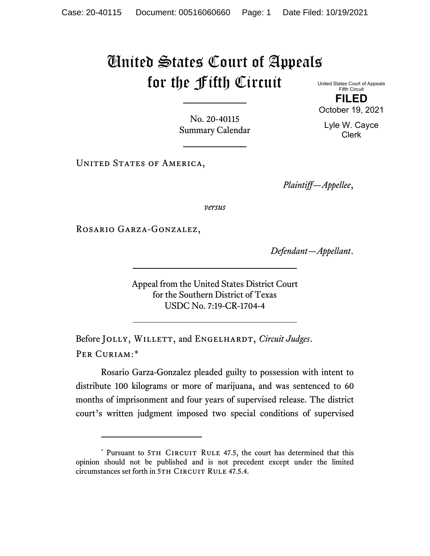## United States Court of Appeals for the Fifth Circuit

United States Court of Appeals Fifth Circuit **FILED**

October 19, 2021

No. 20-40115 Summary Calendar

UNITED STATES OF AMERICA,

*Plaintiff—Appellee*,

*versus*

Rosario Garza-Gonzalez,

*Defendant—Appellant*.

Appeal from the United States District Court for the Southern District of Texas USDC No. 7:19-CR-1704-4

Before JOLLY, WILLETT, and ENGELHARDT, *Circuit Judges*. Per Curiam:[\\*](#page-0-0)

Rosario Garza-Gonzalez pleaded guilty to possession with intent to distribute 100 kilograms or more of marijuana, and was sentenced to 60 months of imprisonment and four years of supervised release. The district court's written judgment imposed two special conditions of supervised

Lyle W. Cayce

Clerk

<span id="page-0-0"></span><sup>\*</sup> Pursuant to 5TH CIRCUIT RULE 47.5, the court has determined that this opinion should not be published and is not precedent except under the limited circumstances set forth in 5TH CIRCUIT RULE 47.5.4.